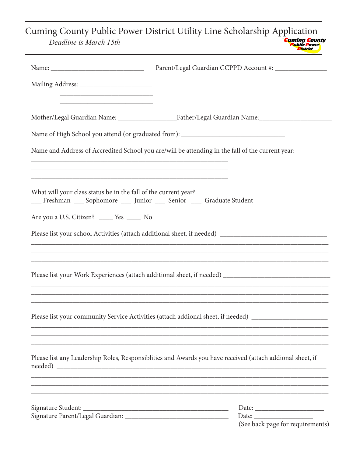Cuming County Public Power District Utility Line Scholarship Application

| Deadline is March 15th |  |
|------------------------|--|
|------------------------|--|

|                                                                                                                                                                             | Name of High School you attend (or graduated from): _____________________________                                                                                                              |
|-----------------------------------------------------------------------------------------------------------------------------------------------------------------------------|------------------------------------------------------------------------------------------------------------------------------------------------------------------------------------------------|
|                                                                                                                                                                             | Name and Address of Accredited School you are/will be attending in the fall of the current year:                                                                                               |
| What will your class status be in the fall of the current year?<br>Freshman Sophomore __ Junior __ Senior __ Graduate Student<br>Are you a U.S. Citizen? _____ Yes _____ No |                                                                                                                                                                                                |
|                                                                                                                                                                             |                                                                                                                                                                                                |
|                                                                                                                                                                             | ,我们也不能在这里的时候,我们也不能在这里的时候,我们也不能会在这里的时候,我们也不能会在这里的时候,我们也不能会在这里的时候,我们也不能会在这里的时候,我们也不                                                                                                              |
|                                                                                                                                                                             | Please list your community Service Activities (attach addional sheet, if needed) ___________________                                                                                           |
|                                                                                                                                                                             | ,我们也不能在这里的时候,我们也不能在这里的时候,我们也不能会在这里的时候,我们也不能会在这里的时候,我们也不能会在这里的时候,我们也不能会在这里的时候,我们也不<br>Please list any Leadership Roles, Responsiblities and Awards you have received (attach addional sheet, if |
|                                                                                                                                                                             | (See back page for requirements)                                                                                                                                                               |